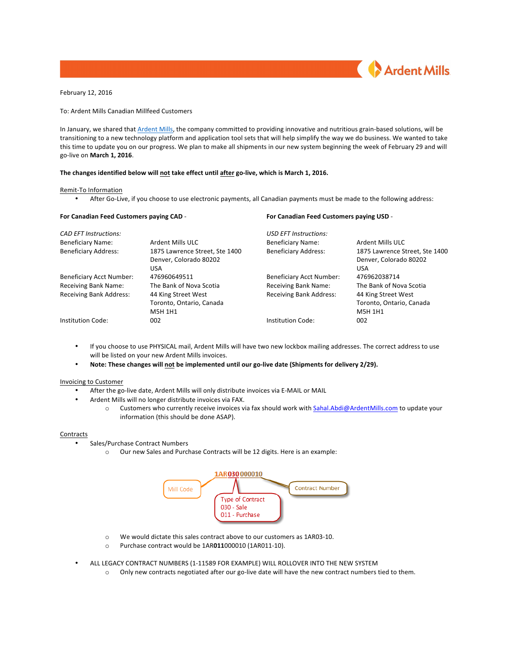

February 12, 2016

To: Ardent Mills Canadian Millfeed Customers

In January, we shared that Ardent Mills, the company committed to providing innovative and nutritious grain-based solutions, will be transitioning to a new technology platform and application tool sets that will help simplify the way we do business. We wanted to take this time to update you on our progress. We plan to make all shipments in our new system beginning the week of February 29 and will go-live on **March 1, 2016**.

## The changes identified below will not take effect until after go-live, which is March 1, 2016.

# Remit-To Information

• After Go-Live, if you choose to use electronic payments, all Canadian payments must be made to the following address:

| For Canadian Feed Customers paying CAD -<br><b>CAD EFT Instructions:</b> |                                | For Canadian Feed Customers paying USD -<br><b>USD EFT Instructions:</b> |                                |
|--------------------------------------------------------------------------|--------------------------------|--------------------------------------------------------------------------|--------------------------------|
|                                                                          |                                |                                                                          |                                |
| <b>Beneficiary Address:</b>                                              | 1875 Lawrence Street. Ste 1400 | <b>Beneficiary Address:</b>                                              | 1875 Lawrence Street. Ste 1400 |
|                                                                          | Denver, Colorado 80202         |                                                                          | Denver, Colorado 80202         |
|                                                                          | <b>USA</b>                     |                                                                          | <b>USA</b>                     |
| <b>Beneficiary Acct Number:</b>                                          | 476960649511                   | <b>Beneficiary Acct Number:</b>                                          | 476962038714                   |
| Receiving Bank Name:                                                     | The Bank of Nova Scotia        | <b>Receiving Bank Name:</b>                                              | The Bank of Nova Scotia        |
| <b>Receiving Bank Address:</b>                                           | 44 King Street West            | <b>Receiving Bank Address:</b>                                           | 44 King Street West            |
|                                                                          | Toronto, Ontario, Canada       |                                                                          | Toronto, Ontario, Canada       |
|                                                                          | M5H 1H1                        |                                                                          | M5H 1H1                        |
| Institution Code:                                                        | 002                            | Institution Code:                                                        | 002                            |

- If you choose to use PHYSICAL mail, Ardent Mills will have two new lockbox mailing addresses. The correct address to use will be listed on your new Ardent Mills invoices.
- **Note: These changes will not be implemented until our go-live date (Shipments for delivery 2/29).**

#### Invoicing to Customer

- After the go-live date, Ardent Mills will only distribute invoices via E-MAIL or MAIL
- Ardent Mills will no longer distribute invoices via FAX.
	- o Customers who currently receive invoices via fax should work with Sahal.Abdi@ArdentMills.com to update your information (this should be done ASAP).

## **Contracts**

- Sales/Purchase Contract Numbers
	- o Our new Sales and Purchase Contracts will be 12 digits. Here is an example:



- o We would dictate this sales contract above to our customers as 1AR03-10.
- o Purchase contract would be 1AR011000010 (1AR011-10).
- ALL LEGACY CONTRACT NUMBERS (1-11589 FOR EXAMPLE) WILL ROLLOVER INTO THE NEW SYSTEM
	- $\circ$  Only new contracts negotiated after our go-live date will have the new contract numbers tied to them.